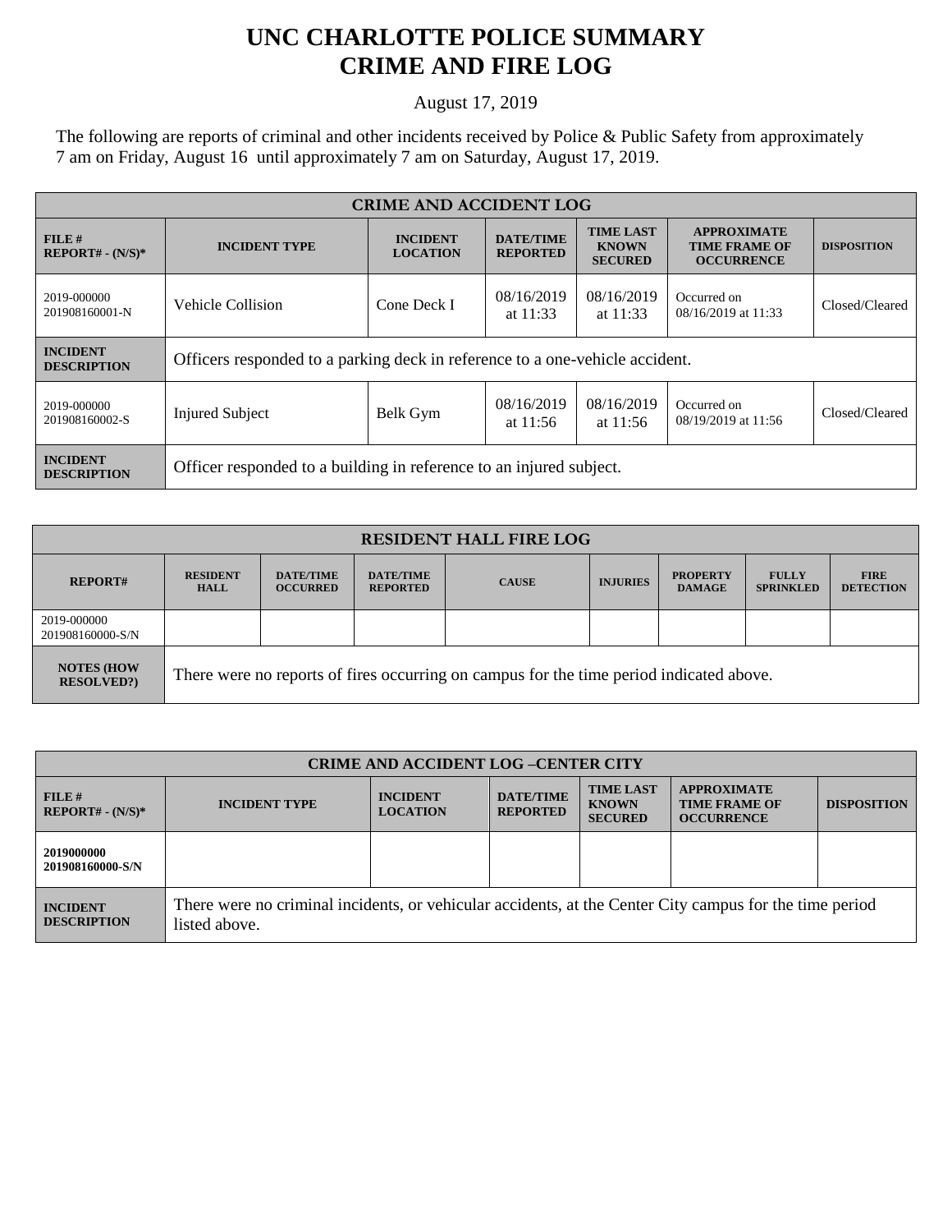## **UNC CHARLOTTE POLICE SUMMARY CRIME AND FIRE LOG**

August 17, 2019

The following are reports of criminal and other incidents received by Police & Public Safety from approximately 7 am on Friday, August 16 until approximately 7 am on Saturday, August 17, 2019.

| <b>CRIME AND ACCIDENT LOG</b>         |                                                                              |                                                                           |                          |                                                    |                                                                 |                    |  |
|---------------------------------------|------------------------------------------------------------------------------|---------------------------------------------------------------------------|--------------------------|----------------------------------------------------|-----------------------------------------------------------------|--------------------|--|
| $FILE$ #<br>$REPORT# - (N/S)*$        | <b>INCIDENT TYPE</b>                                                         | <b>DATE/TIME</b><br><b>INCIDENT</b><br><b>LOCATION</b><br><b>REPORTED</b> |                          | <b>TIME LAST</b><br><b>KNOWN</b><br><b>SECURED</b> | <b>APPROXIMATE</b><br><b>TIME FRAME OF</b><br><b>OCCURRENCE</b> | <b>DISPOSITION</b> |  |
| 2019-000000<br>201908160001-N         | Vehicle Collision                                                            | Cone Deck I                                                               | 08/16/2019<br>at $11:33$ | 08/16/2019<br>at $11:33$                           | Occurred on<br>08/16/2019 at 11:33                              | Closed/Cleared     |  |
| <b>INCIDENT</b><br><b>DESCRIPTION</b> | Officers responded to a parking deck in reference to a one-vehicle accident. |                                                                           |                          |                                                    |                                                                 |                    |  |
| 2019-000000<br>201908160002-S         | <b>Injured Subject</b>                                                       | Belk Gym                                                                  | 08/16/2019<br>at $11:56$ | 08/16/2019<br>at $11:56$                           | Occurred on<br>08/19/2019 at 11:56                              | Closed/Cleared     |  |
| <b>INCIDENT</b><br><b>DESCRIPTION</b> | Officer responded to a building in reference to an injured subject.          |                                                                           |                          |                                                    |                                                                 |                    |  |

| <b>RESIDENT HALL FIRE LOG</b>         |                                                                                         |                                     |                                     |              |                 |                                  |                                  |                                 |
|---------------------------------------|-----------------------------------------------------------------------------------------|-------------------------------------|-------------------------------------|--------------|-----------------|----------------------------------|----------------------------------|---------------------------------|
| <b>REPORT#</b>                        | <b>RESIDENT</b><br><b>HALL</b>                                                          | <b>DATE/TIME</b><br><b>OCCURRED</b> | <b>DATE/TIME</b><br><b>REPORTED</b> | <b>CAUSE</b> | <b>INJURIES</b> | <b>PROPERTY</b><br><b>DAMAGE</b> | <b>FULLY</b><br><b>SPRINKLED</b> | <b>FIRE</b><br><b>DETECTION</b> |
| 2019-000000<br>201908160000-S/N       |                                                                                         |                                     |                                     |              |                 |                                  |                                  |                                 |
| <b>NOTES (HOW</b><br><b>RESOLVED?</b> | There were no reports of fires occurring on campus for the time period indicated above. |                                     |                                     |              |                 |                                  |                                  |                                 |

| <b>CRIME AND ACCIDENT LOG-CENTER CITY</b> |                                                                                                                          |                                    |                                     |                                                    |                                                                 |                    |
|-------------------------------------------|--------------------------------------------------------------------------------------------------------------------------|------------------------------------|-------------------------------------|----------------------------------------------------|-----------------------------------------------------------------|--------------------|
| FILE#<br>$REPORT# - (N/S)*$               | <b>INCIDENT TYPE</b>                                                                                                     | <b>INCIDENT</b><br><b>LOCATION</b> | <b>DATE/TIME</b><br><b>REPORTED</b> | <b>TIME LAST</b><br><b>KNOWN</b><br><b>SECURED</b> | <b>APPROXIMATE</b><br><b>TIME FRAME OF</b><br><b>OCCURRENCE</b> | <b>DISPOSITION</b> |
| 2019000000<br>201908160000-S/N            |                                                                                                                          |                                    |                                     |                                                    |                                                                 |                    |
| <b>INCIDENT</b><br><b>DESCRIPTION</b>     | There were no criminal incidents, or vehicular accidents, at the Center City campus for the time period<br>listed above. |                                    |                                     |                                                    |                                                                 |                    |